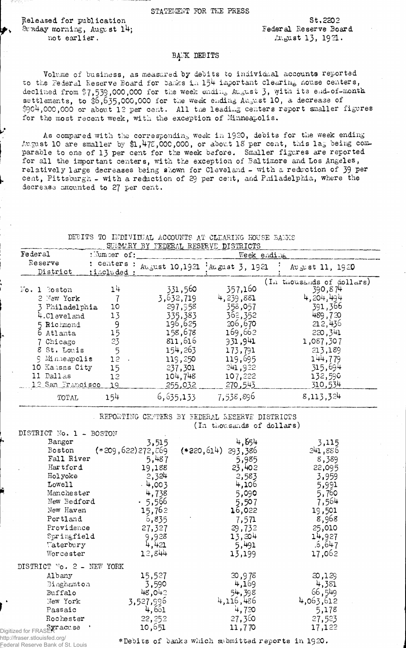## STATEMENT FOR THE PRESS

Released for publication **St.2202**<br>
Straday morning, August 14; **Example 18** Federal Reserve Board Sunday morning, August 14; **not earlier.**  $A_1 = 13, 1921$ .

## **BANK DEBITS**

Volume of business, as measured by debits to individual accounts reported to the Federal Reserve Board for banks in 154 important clearing nouse centers, declined from \$7,539,000,000 for the week ending August 3, with its end-of-month **se ttle m e n ts, to \$**6,635**,000,000 for the week ending August 10 , a decrease of** \$904,000,000 or about 12 per cent. All the leading centers report smaller figures for the most recent week, with the exception of Minneapolis.

As compared with the corresponding week in 1920, debits for the week ending August 10 are smaller by \$1,478,000,000, or about 18 per cent, this lag being comparable to one of 13 per cent for the week before. Smaller figures are reported for all the important centers, with the exception of Baltimore and Los Angeles, relatively large decreases being shown for Cleveland - with a reduction of 39 per cent, Pittsburgh - with a reduction of 29 per cent, and Philadelphia, where the decrease amounted to 27 per cent.

## DEBITS TO INDIVIDUAL ACCOUNTS AT CLEARING HOUSE BANKS

| SUMMARY BY FEDERAL RESERVE DISTRICTS                                                                                                                                                                      |                                                                     |                                                                                                                                                 |                                                                                                                                                   |                                                                                                                                                                                |  |
|-----------------------------------------------------------------------------------------------------------------------------------------------------------------------------------------------------------|---------------------------------------------------------------------|-------------------------------------------------------------------------------------------------------------------------------------------------|---------------------------------------------------------------------------------------------------------------------------------------------------|--------------------------------------------------------------------------------------------------------------------------------------------------------------------------------|--|
| Federal                                                                                                                                                                                                   | : Jumper of:                                                        | Week ending                                                                                                                                     |                                                                                                                                                   |                                                                                                                                                                                |  |
| Reserve<br>District                                                                                                                                                                                       | : centers :<br>:included:                                           |                                                                                                                                                 | August 10,1921 August 3, 1921                                                                                                                     | August 11, 1920                                                                                                                                                                |  |
| $\mathbb{F}$ o, 1 Boston<br>2 New York<br>Philadelphia<br>4.Cleveland<br>5 Richmond<br>6 Atlanta<br>7 Chicago<br>8 St. Louis<br>9 Minneapolis<br>10 Kansas City<br>11 Dallas<br>12 San Francisco<br>TOTAL | 14<br>10<br>13<br>9<br>15<br>23<br>5<br>12<br>15<br>12<br>19<br>154 | 331,560<br>3,632,719<br>297,958<br>335,383<br>196,625<br>158,678<br>811,616<br>154,263<br>119,250<br>237,301<br>104,748<br>255,032<br>6,635,133 | 357,160<br>4, 239, 881<br>358,057<br>362,352<br>206,670<br>169,662<br>931.941<br>173,791<br>119,695<br>241,922<br>107,222<br>270,543<br>7,538,896 | (In thousands of dollars)<br>390,874<br>4,204,494<br>391,366<br>489,730<br>212,436<br>220,341<br>1,087,307<br>213,189<br>144,779<br>315,694<br>132,590<br>310,534<br>8,113,324 |  |

REPORTING CENTERS BY FEDERAL RESERVE DISTRICTS (In thousands of dollars)

| ມບນ⊥ບ⊥∘                     |                     |                       |                 |
|-----------------------------|---------------------|-----------------------|-----------------|
| Bangor                      | 3,515               | 4,654                 | 3,115           |
| Boston                      | $(*209,622)272,769$ | $(*220, 614)$ 293,386 | 241,886         |
| Fall River                  | 5,487               | 5,985                 | 8,389           |
| Hartford                    | 19,188              | 23,402                | 22,095          |
| Holyoke                     | 2,324               | 2,583                 | 3,959           |
| Lowell                      | . 4,003             | 4,106                 | 5,991           |
| Manchester                  | 4,738               | 5,090                 | 5,760           |
| New Bedford                 | .5,566              | 5,507                 | 7,564           |
| New Haven                   | 15,762              | 16,022                | 19,501          |
| Portland                    | 6,835               | 7,571                 | 8,968           |
| Providence                  | 27,327              | 29,732                | 25,010          |
| Springfield                 | 9,928               | 13,204                | 14,927          |
| Taterbury                   | 4,421               | 5,491                 | .5,647          |
| Worcester                   | 12,844              | 13,199                | 17,062          |
| DISTRICT No. 2 - NEW YORK   |                     |                       |                 |
| Albany                      |                     |                       |                 |
|                             | 15,527              | 20,978<br>4,169       | 20,129<br>4,381 |
| Binghamton                  | 3,590               |                       | 66,549          |
| Buffalo                     | 48,042              | 54,398                |                 |
| New York                    | 3,527,996           | 4,116,486             | 4,063,612       |
| Passaic                     | 4,661               | 4,720                 | 5,178           |
| Rochester                   | 22,252              | 27,360                | 27,523          |
| Digitized for FRASERT acuse | 10,651              | 11,770                | 17,122          |
|                             |                     |                       |                 |

http://fraser.stlouisfed.org/ Federal Reserve Bank of St. Louis

DISTRICT No, 1 - BOSTON

♦Debits of banks which submitted reports in 192O,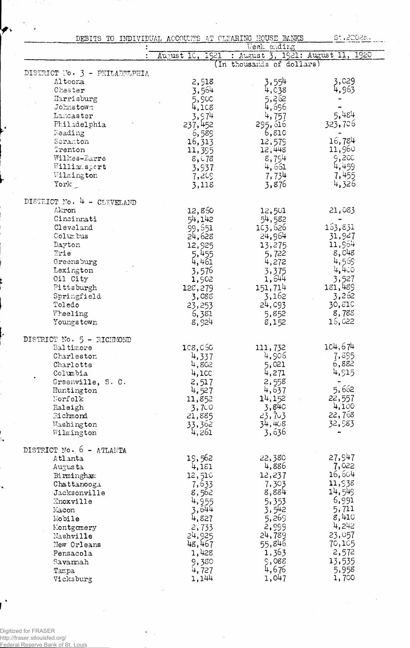| St.2202a.<br>DEBITS TO INDIVIDUAL ACCOUNTS AT CLEARING HOUSE BANKS |                    |                                   |                  |  |  |
|--------------------------------------------------------------------|--------------------|-----------------------------------|------------------|--|--|
|                                                                    |                    | Week ending                       |                  |  |  |
|                                                                    | 1921<br>August 10, | : August 3, 1921: August 11, 1920 |                  |  |  |
|                                                                    |                    | (In thousands of dollars)         |                  |  |  |
| DISTRICT No. 3 - PHILADELPHIA                                      |                    |                                   |                  |  |  |
| Altoona                                                            | 2,918              | 3,554                             | 3,029            |  |  |
| Chester                                                            | 3,564              | 4,638                             | 4,963            |  |  |
| Harrisburg                                                         | 5,900              | 5,262                             |                  |  |  |
| Johnstown                                                          | 4,108              | 4,696                             |                  |  |  |
| Lancaster                                                          | 3,974              | 4,757                             | 5,484            |  |  |
| Philadelphia                                                       | 237,452            | 295, 616                          | 323,706          |  |  |
| Reading                                                            | 6,589              | 6,810                             |                  |  |  |
| Seranton                                                           | 16,313             | 12,579                            | 16,784           |  |  |
| Trenton                                                            | 11,395             | 12,448                            | 11,960           |  |  |
| Wilkes-Larre                                                       | 8,078              | 8,754                             | 9,200            |  |  |
| Williamsport                                                       | 3,937              | 4,661                             | 4,459            |  |  |
| Wilmington                                                         | 7,209              | 7,734                             | 7,455            |  |  |
| York                                                               | 3,118              | 3,876                             | 4,326            |  |  |
| DISTRICT No. 4 - CLEVELAND                                         |                    |                                   |                  |  |  |
| Akron                                                              | 12,860             | 12,501                            | 21,083           |  |  |
| Cincinnati                                                         | 54,142             | 54,582                            |                  |  |  |
| Cleveland                                                          | 99,651             | 103,626                           | 163,831          |  |  |
| Columbus                                                           | 24,628             | 24,964                            | 31,927           |  |  |
| Dayton                                                             | 12,925             | 13,275                            | 11,964           |  |  |
| Erie                                                               | 5,455              | 5,722                             | 8,048            |  |  |
| Greensburg                                                         | 4,461              | 4,272                             | 4,569            |  |  |
| Lexington                                                          | 3,576              | 3,375                             | 4,400            |  |  |
| Oil City                                                           | 1,902              | 1,644                             | 3,527            |  |  |
| Pittsburgh                                                         | 128,279            | 151,714                           | 181,489          |  |  |
| Springfield                                                        | 3,088              | 3,162                             | 3,262            |  |  |
| Toledo                                                             | 23,253             | 24, C93                           | 30,810           |  |  |
| Wheeling                                                           | 6,381              | 5,852                             | 8,788            |  |  |
| Youngstown                                                         | 8,924              | 8,152                             | 16,022           |  |  |
|                                                                    |                    |                                   |                  |  |  |
| DISTRICT No. 5 - RICHMOND                                          |                    |                                   |                  |  |  |
| Baltimore                                                          | 1c8, c50           | 111,732                           | 104,674          |  |  |
| Charleston                                                         | 4,337              | 4,906                             | 7,895            |  |  |
| Charlotte                                                          | 4,802              | 5,021                             | 6,882<br>4,515   |  |  |
| Columbia                                                           | 4,100              | 4,271                             |                  |  |  |
| Greenville, S. C.                                                  | 2,517              | 2,558<br>4,637                    | 5,662            |  |  |
| Huntington<br>Norfolk                                              | 4,527              | 14,152                            | 22,557           |  |  |
| Raleigh                                                            | 11,852<br>3,700    | 3,840                             | 4,100            |  |  |
| Richmond                                                           | 21,885             | 23,703                            | 22,768           |  |  |
| Washington                                                         | 33,362             | 34,408                            | 32,983           |  |  |
| Wilmington                                                         | 4,261              | 3,636                             |                  |  |  |
|                                                                    |                    |                                   |                  |  |  |
| DISTRICT No. 6 -<br>ATLANTA                                        |                    |                                   |                  |  |  |
| Atlanta                                                            | 19,562             | 22,380                            | 27,947           |  |  |
| Augusta                                                            | 4,181              | 4,886                             | 7,022            |  |  |
| Birmingham                                                         | 12,510             | 12,237                            | 16,604           |  |  |
| Chattanooga                                                        | 7,633              | 7,303                             | 11,938<br>14,549 |  |  |
| Jacksonville<br>Knoxville                                          | 8,562<br>4,955     | 8,884                             | 6,991            |  |  |
|                                                                    |                    | 5,353                             | 5,711            |  |  |
| Macon<br>Mobile                                                    | 3,644<br>4,827     | 3,542<br>5,269                    | 8,410            |  |  |
|                                                                    |                    | 2,999                             | 4,242            |  |  |
| Montgomery                                                         | 2,733<br>24,925    | 24,789                            | 23,057           |  |  |
| Nashville                                                          | 48,467             | 55,846                            | 70,105           |  |  |
| New Orleans<br>Pensacola                                           | 1,428              | 1,363                             | 2,572            |  |  |
|                                                                    | 9,380              | 9,088                             | 13,535           |  |  |
| $S$ avarmah<br>Tampa                                               | 4,727              | 4,676                             | 5,958            |  |  |
| Vicksburg                                                          | 1,144              | 1,047                             | 1,700            |  |  |
|                                                                    |                    |                                   |                  |  |  |

 $\ddot{\phantom{a}}$ 

 $\bar{\beta}$ 

77  $\hat{\mathcal{A}}$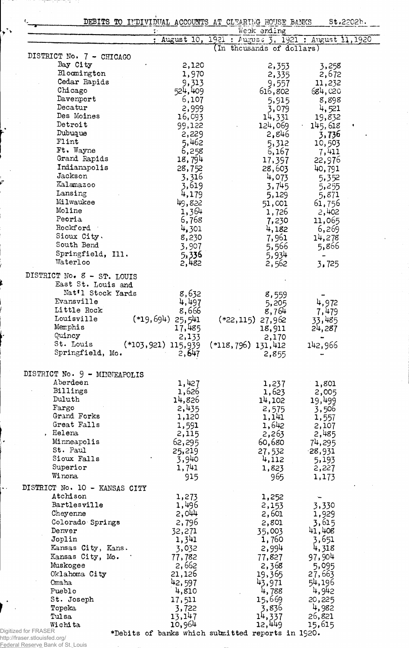|                      |                               | DEBITS TO INDIVIDUAL ACCOUNTS AT CLEARING HOUSE BANKS<br>$\ddot{\cdot}$ | Week ending                                          |                |
|----------------------|-------------------------------|-------------------------------------------------------------------------|------------------------------------------------------|----------------|
|                      |                               |                                                                         | : August 10, 1921 : August 3, 1921 : August 11, 1920 |                |
|                      | DISTRICT No. 7 - CHICAGO      |                                                                         | (In thousands of dollars)                            |                |
|                      | Bay City                      | 2,120                                                                   | 2,353                                                | 3,258          |
|                      | Bloomington                   | 1,970                                                                   | 2,335                                                | 2,672          |
|                      | Cedar Rapids                  | 9,313                                                                   | 9,557                                                | 11,232         |
|                      | Chicago                       | 524,409                                                                 | 616,802                                              | 684,020        |
|                      | Davenport                     | 6,107                                                                   | 5,915                                                | 8,898          |
|                      | Decatur                       | 2,999                                                                   | 3,079                                                | 4,521          |
|                      | Des Moines                    | 16,093                                                                  | 14,331                                               | 19,832         |
|                      | Detroit                       | 99,122                                                                  | 124,069                                              | 145,618        |
|                      | Dubuque                       | 2,229                                                                   | 2,846                                                | 3,736          |
|                      | Flint                         | 5,462                                                                   | 5,312                                                | 10,503         |
|                      | Ft. Wayne                     | 6,258                                                                   | 6,167                                                | 7,411          |
|                      | Grand Rapids                  | 18,794                                                                  | 17,397                                               | 22,976         |
|                      | Indianapolis                  | 28,752                                                                  | 28,603                                               | 40,791         |
|                      | Jackson                       | 3,316                                                                   | 4,073                                                | 5,352          |
|                      | Kalamazoo                     | 3,619                                                                   | 3,745                                                | 5,255          |
|                      | Lansing                       | 4,179                                                                   | 5,129                                                | 5,871          |
|                      | Milwaukee                     | 49,822                                                                  | 51,001                                               | 61,756         |
|                      | Moline                        | 1,364                                                                   | 1,726                                                | 2,402          |
|                      | Peoria                        | 6,768                                                                   | 7,230                                                | 11,065         |
|                      | Rockford                      | 4,301                                                                   | 4,182                                                | 6,269          |
|                      | Sioux City.                   | 8,230                                                                   | 7,961                                                | 14,278         |
|                      | South Bend                    | 3,907                                                                   | 5,566                                                | 5,866          |
|                      | Springfield, Ill.             | 5,336                                                                   | 5,934                                                |                |
|                      | Waterloo                      | 2,482                                                                   | 2,562                                                | 3,725          |
|                      | DISTRICT No. 8 - ST. LOUIS    |                                                                         |                                                      |                |
|                      | East St. Louis and            |                                                                         |                                                      |                |
|                      | Nat'l Stock Yards             | 8,632                                                                   | 8,559                                                |                |
|                      | Evansville                    | 4,497                                                                   | 5,205                                                | 4,972          |
|                      | Little Rock                   | 8,666                                                                   | 8,764                                                | 7,479          |
|                      | Louisville                    | $(*19,694)$ 25,541                                                      | $(*22, 115)$ 27,962                                  | 33,485         |
|                      | Memphis                       | 17,485                                                                  | 18,911                                               | 24,287         |
|                      | Quincy                        | 2,133                                                                   | 2,170                                                |                |
|                      | St. Louis                     | $(*103,921)$ 115,939                                                    | $(*118,796)$ 131,412                                 | 142,966        |
|                      | Springfield, Mo.              | 2,647                                                                   | 2,855                                                |                |
|                      | DISTRICT No. 9 - MINNEAPOLIS  |                                                                         |                                                      |                |
|                      | Aberdeen                      | 1,427                                                                   | 1,237                                                |                |
|                      | Billings                      | 1,626                                                                   | 1,623                                                | 1,801<br>2,005 |
|                      | Duluth                        | 14,826                                                                  | 14,102                                               | 19,499         |
|                      | Fargo                         | 2,435                                                                   | 2,575                                                | 3,506          |
|                      | Grand Forks                   | 1,120                                                                   | 1,141                                                | 1,557          |
|                      | Great Falls                   | 1,591                                                                   | 1,642                                                | 2,107          |
|                      | , Helena                      | 2,115                                                                   | 2,263                                                | 2,485          |
|                      | Minneapolis                   | 62,295                                                                  | 60,680                                               | 74,295         |
|                      | St. Paul                      | 25,219                                                                  | 27,532                                               | $-28,931$      |
|                      | Sioux Falls                   | 3,940                                                                   | 4,112                                                | 5,193          |
|                      | Superior                      | 1,741                                                                   | 1,823                                                | 2,227          |
|                      | Winona                        | 915                                                                     | 965                                                  | 1,173          |
|                      | DISTRICT No. 10 - KANSAS CITY |                                                                         |                                                      |                |
|                      | Atchison                      | 1,273                                                                   | 1,252                                                |                |
|                      | Bartlesville                  | 1,496                                                                   | 2,153                                                | 3,330          |
|                      | Cheyenne                      | 2,044                                                                   | 2,601                                                | 1,929          |
|                      | Colorado Springs              | 2,796                                                                   | 2,801                                                | 3,615          |
|                      | Denver                        | 32,271                                                                  | 35,003                                               | 41,408         |
|                      | Joplin                        | 1,341                                                                   | 1,760                                                | 3,651          |
|                      | Kansas City, Kans.            | 3,032                                                                   | 2,994                                                | 4,318          |
|                      | Kansas City, Mo.              | 77,782                                                                  | 77,827                                               | 97,904         |
|                      | Muskogee                      | 2,662                                                                   | 2,368                                                | 5,095          |
|                      | Oklahoma City                 | 21,126                                                                  | 19,365                                               | 27,663         |
|                      | Omaha                         | 42,597                                                                  | 43,971                                               | 54,196         |
|                      | Pueblo                        | 4,810                                                                   | 4,788                                                | 4,942          |
|                      |                               | 17,511                                                                  | 15,669                                               | 20,225         |
|                      | St. Joseph                    |                                                                         |                                                      |                |
|                      | Topeka                        |                                                                         |                                                      | 4,982          |
|                      | Tulsa                         | 3,722<br>13,147                                                         | 3,836                                                | 26,821         |
| Digitized for FRASER | Wichita                       | 10,964<br>*Debits of banks which submitted reports in 1920.             | 14,337<br>12,449                                     | 15,615         |